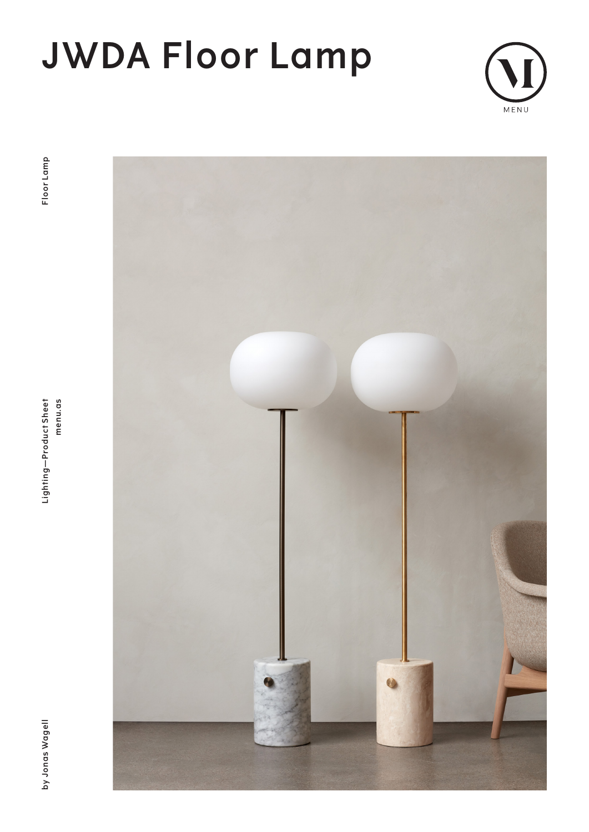# **JWDA Floor Lamp**





**by Jonas Wagell Lighting—Product Sheet menu.as Floor Lamp**Lighting-Product Sheet menu.as



by Jonas Wagell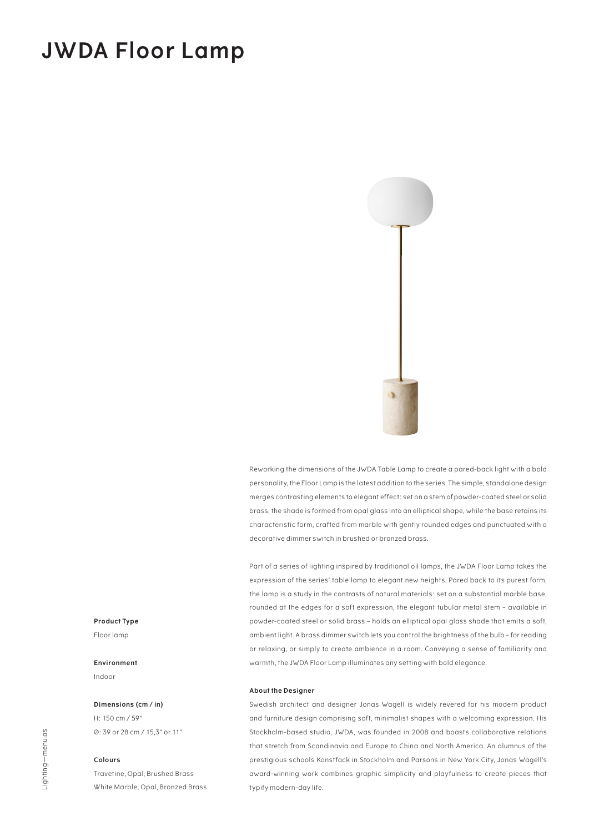### **JWDA Floor Lamp**



Reworking the dimensions of the JWDA Table Lamp to create a pared-back light with a bold personality, the Floor Lamp is the latest addition to the series. The simple, standalone design merges contrasting elements to elegant effect: set on a stem of powder-coated steel or solid brass, the shade is formed from opal glass into an elliptical shape, while the base retains its characteristic form, crafted from marble with gently rounded edges and punctuated with a decorative dimmer switch in brushed or bronzed brass.

Part of a series of lighting inspired by traditional oil lamps, the JWDA Floor Lamp takes the expression of the series' table lamp to elegant new heights. Pared back to its purest form, the lamp is a study in the contrasts of natural materials: set on a substantial marble base, rounded at the edges for a soft expression, the elegant tubular metal stem – available in powder-coated steel or solid brass – holds an elliptical opal glass shade that emits a soft, ambient light. A brass dimmer switch lets you control the brightness of the bulb – for reading or relaxing, or simply to create ambience in a room. Conveying a sense of familiarity and warmth, the JWDA Floor Lamp illuminates any setting with bold elegance.

#### **About the Designer**

Swedish architect and designer Jonas Wagell is widely revered for his modern product and furniture design comprising soft, minimalist shapes with a welcoming expression. His Stockholm-based studio, JWDA, was founded in 2008 and boasts collaborative relations that stretch from Scandinavia and Europe to China and North America. An alumnus of the prestigious schools Konstfack in Stockholm and Parsons in New York City, Jonas Wagell's award-winning work combines graphic simplicity and playfulness to create pieces that typify modern-day life.

#### **Product Type**

Floor lamp

#### **Environment**

Indoor

#### **Dimensions (cm / in)**

H: 150 cm / 59" Ø: 39 or 28 cm / 15,3" or 11"

#### **Colours**

Travetine, Opal, Brushed Brass White Marble, Opal, Bronzed Brass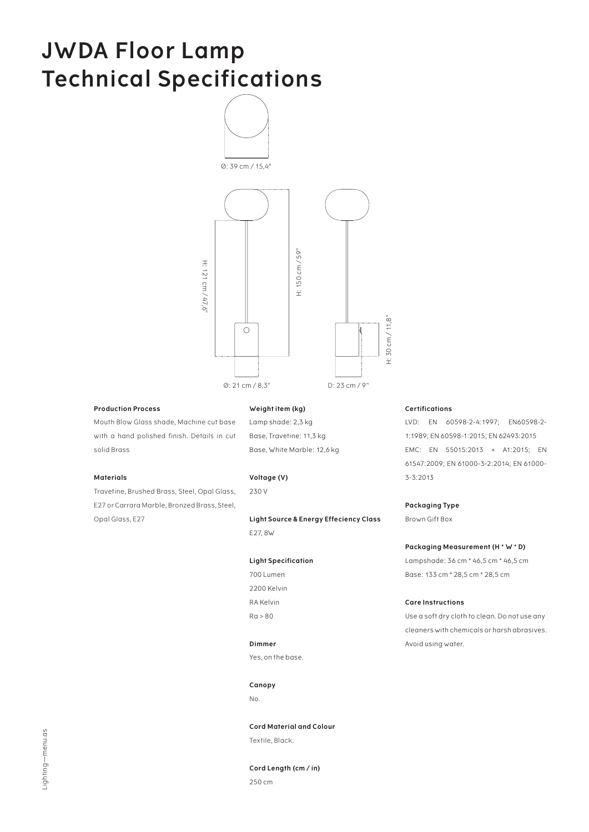## **JWDA Floor Lamp Technical Specifications**



#### **Production Process**

Mouth Blow Glass shade, Machine cut base with a hand polished finish. Details in cut solid Brass

#### **Materials**

Travetine, Brushed Brass, Steel, Opal Glass, E27 or Carrara Marble, Bronzed Brass, Steel, Opal Glass, E27

#### **Weight item (kg)**

Lamp shade: 2,3 kg Base, Travetine: 11,3 kg Base, White Marble: 12,6 kg

#### **Voltage (V)**

230 V

**Light Source & Energy Effeciency Class** E27, 8W

#### **Light Specification**

700 Lumen 2200 Kelvin RA Kelvin Ra > 80

#### **Dimmer**

Yes, on the base.

#### **Canopy**

No.

**Cord Material and Colour** Textile, Black.

**Cord Length (cm / in)** 250 cm

#### **Certifications**

LVD: EN 60598-2-4:1997; EN60598-2- 1:1989; EN 60598-1:2015; EN 62493:2015 EMC: EN 55015:2013 + A1:2015; EN 61547:2009; EN 61000-3-2:2014; EN 61000- 3-3:2013

#### **Packaging Type**

Brown Gift Box

#### **Packaging Measurement (H \* W \* D)**

Lampshade: 36 cm \* 46,5 cm \* 46,5 cm Base: 133 cm \* 28,5 cm \* 28,5 cm

#### **Care Instructions**

Use a soft dry cloth to clean. Do not use any cleaners with chemicals or harsh abrasives. Avoid using water.